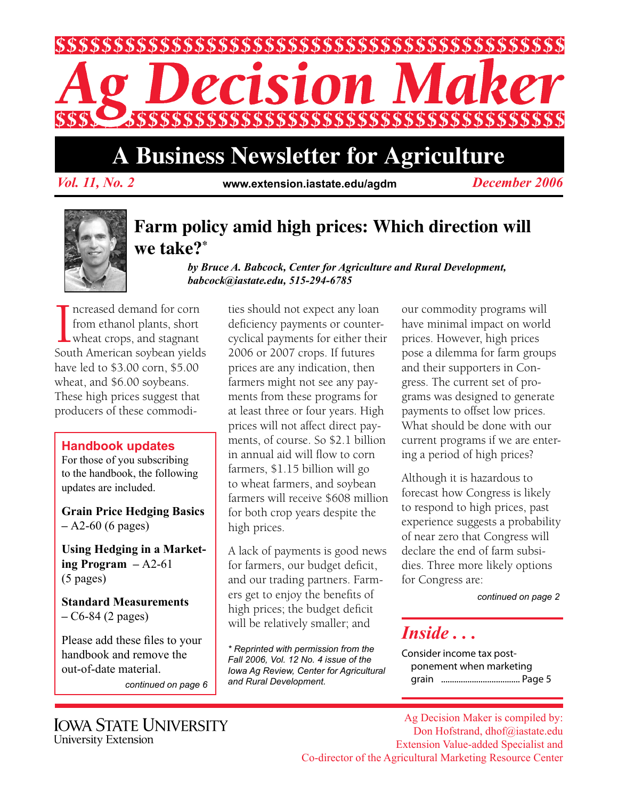

# **A Business Newsletter for Agriculture**

*Vol. 11, No. 2 December 2006* **www.extension.iastate.edu/agdm**



## **Farm policy amid high prices: Which direction will we take?\***

*by Bruce A. Babcock, Center for Agriculture and Rural Development, babcock@iastate.edu, 515-294-6785*

 $\prod$ Sou ncreased demand for corn from ethanol plants, short wheat crops, and stagnant South American soybean yields have led to \$3.00 corn, \$5.00 wheat, and \$6.00 soybeans. These high prices suggest that producers of these commodi-

### **Handbook updates**

For those of you subscribing to the handbook, the following updates are included.

**Grain Price Hedging Basics –** A2-60 (6 pages)

**Using Hedging in a Marketing Program –** A2-61 (5 pages)

**Standard Measurements –** C6-84 (2 pages)

Please add these files to your handbook and remove the out-of-date material.

*continued on page 6*

ties should not expect any loan deficiency payments or countercyclical payments for either their 2006 or 2007 crops. If futures prices are any indication, then farmers might not see any payments from these programs for at least three or four years. High prices will not affect direct payments, of course. So \$2.1 billion in annual aid will flow to corn farmers, \$1.15 billion will go to wheat farmers, and soybean farmers will receive \$608 million for both crop years despite the high prices.

A lack of payments is good news for farmers, our budget deficit, and our trading partners. Farmers get to enjoy the benefits of high prices; the budget deficit will be relatively smaller; and

*\* Reprinted with permission from the Fall 2006, Vol. 12 No. 4 issue of the Iowa Ag Review, Center for Agricultural and Rural Development.*

our commodity programs will have minimal impact on world prices. However, high prices pose a dilemma for farm groups and their supporters in Congress. The current set of programs was designed to generate payments to offset low prices. What should be done with our current programs if we are entering a period of high prices?

Although it is hazardous to forecast how Congress is likely to respond to high prices, past experience suggests a probability of near zero that Congress will declare the end of farm subsidies. Three more likely options for Congress are:

*continued on page 2*

# *Inside . . .*

Consider income tax postponement when marketing grain .................................... Page 5

**IOWA STATE UNIVERSITY** University Extension

Ag Decision Maker is compiled by: Don Hofstrand, dhof@iastate.edu Extension Value-added Specialist and Co-director of the Agricultural Marketing Resource Center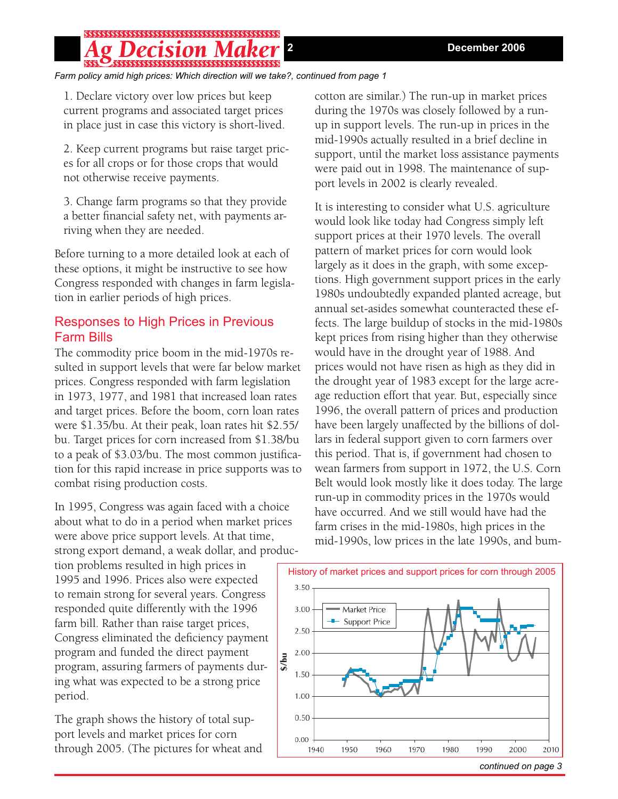### ;\$\$\$\$\$\$\$\$\$\$\$\$\$\$\$\$\$\$\$\$\$\$\$\$\$\$\$\$\$\$\$

*Farm policy amid high prices: Which direction will we take?, continued from page 1*

1. Declare victory over low prices but keep current programs and associated target prices in place just in case this victory is short-lived.

2. Keep current programs but raise target prices for all crops or for those crops that would not otherwise receive payments.

3. Change farm programs so that they provide a better financial safety net, with payments arriving when they are needed.

Before turning to a more detailed look at each of these options, it might be instructive to see how Congress responded with changes in farm legislation in earlier periods of high prices.

#### Responses to High Prices in Previous Farm Bills

The commodity price boom in the mid-1970s resulted in support levels that were far below market prices. Congress responded with farm legislation in 1973, 1977, and 1981 that increased loan rates and target prices. Before the boom, corn loan rates were \$1.35/bu. At their peak, loan rates hit \$2.55/ bu. Target prices for corn increased from \$1.38/bu to a peak of \$3.03/bu. The most common justification for this rapid increase in price supports was to combat rising production costs.

In 1995, Congress was again faced with a choice about what to do in a period when market prices were above price support levels. At that time, strong export demand, a weak dollar, and produc-

tion problems resulted in high prices in 1995 and 1996. Prices also were expected to remain strong for several years. Congress responded quite differently with the 1996 farm bill. Rather than raise target prices, Congress eliminated the deficiency payment program and funded the direct payment program, assuring farmers of payments during what was expected to be a strong price period.

The graph shows the history of total support levels and market prices for corn through 2005. (The pictures for wheat and cotton are similar.) The run-up in market prices during the 1970s was closely followed by a runup in support levels. The run-up in prices in the mid-1990s actually resulted in a brief decline in support, until the market loss assistance payments were paid out in 1998. The maintenance of support levels in 2002 is clearly revealed.

It is interesting to consider what U.S. agriculture would look like today had Congress simply left support prices at their 1970 levels. The overall pattern of market prices for corn would look largely as it does in the graph, with some exceptions. High government support prices in the early 1980s undoubtedly expanded planted acreage, but annual set-asides somewhat counteracted these effects. The large buildup of stocks in the mid-1980s kept prices from rising higher than they otherwise would have in the drought year of 1988. And prices would not have risen as high as they did in the drought year of 1983 except for the large acreage reduction effort that year. But, especially since 1996, the overall pattern of prices and production have been largely unaffected by the billions of dollars in federal support given to corn farmers over this period. That is, if government had chosen to wean farmers from support in 1972, the U.S. Corn Belt would look mostly like it does today. The large run-up in commodity prices in the 1970s would have occurred. And we still would have had the farm crises in the mid-1980s, high prices in the mid-1990s, low prices in the late 1990s, and bum-

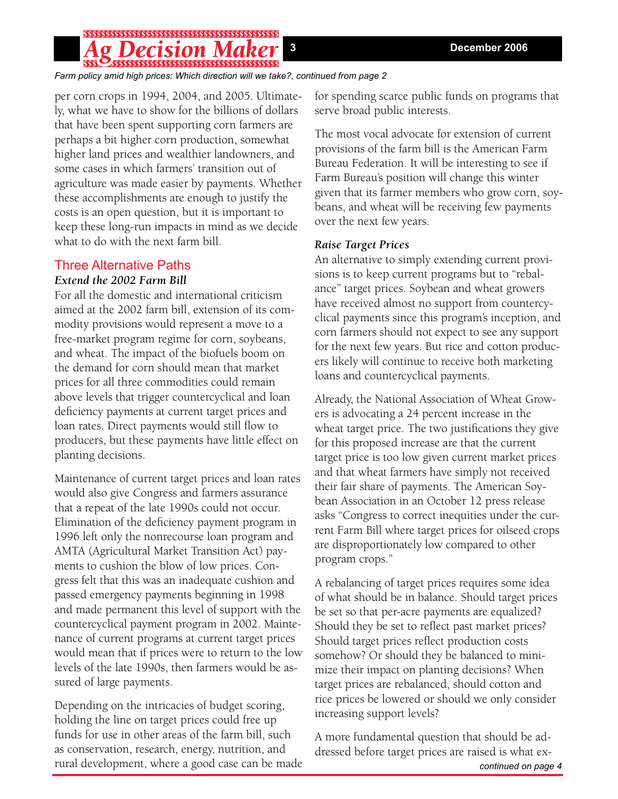### $\begin{smallmatrix} & \bullet\end{smallmatrix}\begin{smallmatrix} & \bullet\end{smallmatrix}\begin{smallmatrix} & \bullet\end{smallmatrix}\begin{smallmatrix} & \bullet\end{smallmatrix}\begin{smallmatrix} & \bullet\end{smallmatrix}\begin{smallmatrix} & \bullet\end{smallmatrix}\begin{smallmatrix} & \bullet\end{smallmatrix}\begin{smallmatrix} & \bullet\end{smallmatrix}\begin{smallmatrix} & \bullet\end{smallmatrix}\begin{smallmatrix} & \bullet\end{smallmatrix}\begin{smallmatrix} & \bullet\end{smallmatrix}\begin{smallmatrix} & \bullet\end{smallmatrix}\begin{smallmatrix} & \bullet\end{smallmatrix}\begin{smallmatrix} & \bullet\end{smallmatrix}\begin{smallmatrix} & \bullet\end{smallmatrix}\begin{smallmatrix} & \bullet\$

*Farm policy amid high prices: Which direction will we take?, continued from page 2*

per corn crops in 1994, 2004, and 2005. Ultimately, what we have to show for the billions of dollars that have been spent supporting corn farmers are perhaps a bit higher corn production, somewhat higher land prices and wealthier landowners, and some cases in which farmers' transition out of agriculture was made easier by payments. Whether these accomplishments are enough to justify the costs is an open question, but it is important to keep these long-run impacts in mind as we decide what to do with the next farm bill.

#### Three Alternative Paths

#### *Extend the 2002 Farm Bill*

For all the domestic and international criticism aimed at the 2002 farm bill, extension of its commodity provisions would represent a move to a free-market program regime for corn, soybeans, and wheat. The impact of the biofuels boom on the demand for corn should mean that market prices for all three commodities could remain above levels that trigger countercyclical and loan deficiency payments at current target prices and loan rates. Direct payments would still flow to producers, but these payments have little effect on planting decisions.

Maintenance of current target prices and loan rates would also give Congress and farmers assurance that a repeat of the late 1990s could not occur. Elimination of the deficiency payment program in 1996 left only the nonrecourse loan program and AMTA (Agricultural Market Transition Act) payments to cushion the blow of low prices. Congress felt that this was an inadequate cushion and passed emergency payments beginning in 1998 and made permanent this level of support with the countercyclical payment program in 2002. Maintenance of current programs at current target prices would mean that if prices were to return to the low levels of the late 1990s, then farmers would be assured of large payments.

Depending on the intricacies of budget scoring, holding the line on target prices could free up funds for use in other areas of the farm bill, such as conservation, research, energy, nutrition, and rural development, where a good case can be made for spending scarce public funds on programs that serve broad public interests.

The most vocal advocate for extension of current provisions of the farm bill is the American Farm Bureau Federation. It will be interesting to see if Farm Bureau's position will change this winter given that its farmer members who grow corn, soybeans, and wheat will be receiving few payments over the next few years.

#### *Raise Target Prices*

An alternative to simply extending current provisions is to keep current programs but to "rebalance" target prices. Soybean and wheat growers have received almost no support from countercyclical payments since this program's inception, and corn farmers should not expect to see any support for the next few years. But rice and cotton producers likely will continue to receive both marketing loans and countercyclical payments.

Already, the National Association of Wheat Growers is advocating a 24 percent increase in the wheat target price. The two justifications they give for this proposed increase are that the current target price is too low given current market prices and that wheat farmers have simply not received their fair share of payments. The American Soybean Association in an October 12 press release asks "Congress to correct inequities under the current Farm Bill where target prices for oilseed crops are disproportionately low compared to other program crops."

A rebalancing of target prices requires some idea of what should be in balance. Should target prices be set so that per-acre payments are equalized? Should they be set to reflect past market prices? Should target prices reflect production costs somehow? Or should they be balanced to minimize their impact on planting decisions? When target prices are rebalanced, should cotton and rice prices be lowered or should we only consider increasing support levels?

A more fundamental question that should be addressed before target prices are raised is what ex-